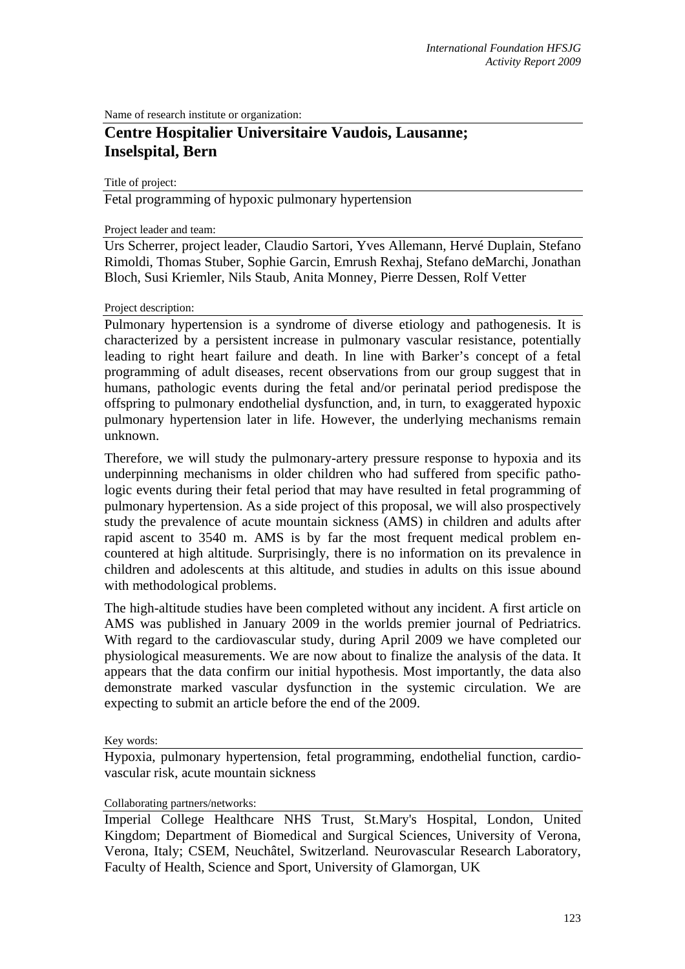Name of research institute or organization:

# **Centre Hospitalier Universitaire Vaudois, Lausanne; Inselspital, Bern**

Title of project:

Fetal programming of hypoxic pulmonary hypertension

#### Project leader and team:

Urs Scherrer, project leader, Claudio Sartori, Yves Allemann, Hervé Duplain, Stefano Rimoldi, Thomas Stuber, Sophie Garcin, Emrush Rexhaj, Stefano deMarchi, Jonathan Bloch, Susi Kriemler, Nils Staub, Anita Monney, Pierre Dessen, Rolf Vetter

#### Project description:

Pulmonary hypertension is a syndrome of diverse etiology and pathogenesis. It is characterized by a persistent increase in pulmonary vascular resistance, potentially leading to right heart failure and death. In line with Barker's concept of a fetal programming of adult diseases, recent observations from our group suggest that in humans, pathologic events during the fetal and/or perinatal period predispose the offspring to pulmonary endothelial dysfunction, and, in turn, to exaggerated hypoxic pulmonary hypertension later in life. However, the underlying mechanisms remain unknown.

Therefore, we will study the pulmonary-artery pressure response to hypoxia and its underpinning mechanisms in older children who had suffered from specific pathologic events during their fetal period that may have resulted in fetal programming of pulmonary hypertension. As a side project of this proposal, we will also prospectively study the prevalence of acute mountain sickness (AMS) in children and adults after rapid ascent to 3540 m. AMS is by far the most frequent medical problem encountered at high altitude. Surprisingly, there is no information on its prevalence in children and adolescents at this altitude, and studies in adults on this issue abound with methodological problems.

The high-altitude studies have been completed without any incident. A first article on AMS was published in January 2009 in the worlds premier journal of Pedriatrics. With regard to the cardiovascular study, during April 2009 we have completed our physiological measurements. We are now about to finalize the analysis of the data. It appears that the data confirm our initial hypothesis. Most importantly, the data also demonstrate marked vascular dysfunction in the systemic circulation. We are expecting to submit an article before the end of the 2009.

#### Key words:

Hypoxia, pulmonary hypertension, fetal programming, endothelial function, cardiovascular risk, acute mountain sickness

#### Collaborating partners/networks:

Imperial College Healthcare NHS Trust, St.Mary's Hospital, London, United Kingdom; Department of Biomedical and Surgical Sciences, University of Verona, Verona, Italy; CSEM, Neuchâtel, Switzerland. Neurovascular Research Laboratory, Faculty of Health, Science and Sport, University of Glamorgan, UK